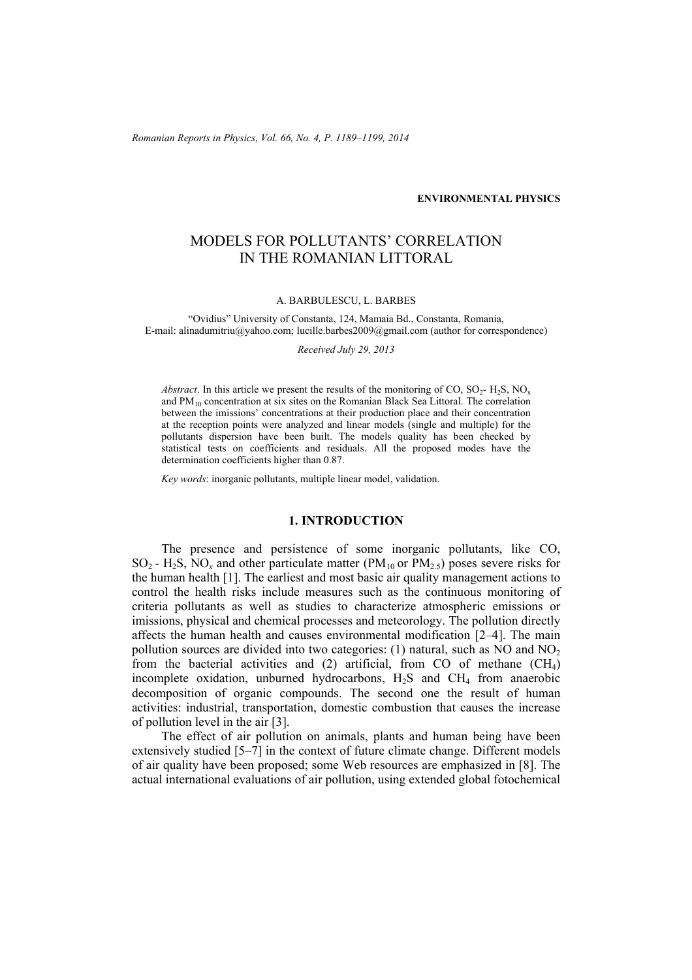*Romanian Reports in Physics, Vol. 66, No. 4, P. 1189–1199, 2014*

## **ENVIRONMENTAL PHYSICS**

# MODELS FOR POLLUTANTS' CORRELATION IN THE ROMANIAN LITTORAL

#### A. BARBULESCU, L. BARBES

"Ovidius" University of Constanta, 124, Mamaia Bd., Constanta, Romania, E-mail: alinadumitriu@yahoo.com; lucille.barbes2009@gmail.com (author for correspondence)

#### *Received July 29, 2013*

*Abstract*. In this article we present the results of the monitoring of CO, SO<sub>2</sub>- H<sub>2</sub>S, NO<sub>x</sub> and  $PM_{10}$  concentration at six sites on the Romanian Black Sea Littoral. The correlation between the imissions' concentrations at their production place and their concentration at the reception points were analyzed and linear models (single and multiple) for the pollutants dispersion have been built. The models quality has been checked by statistical tests on coefficients and residuals. All the proposed modes have the determination coefficients higher than 0.87.

*Key words*: inorganic pollutants, multiple linear model, validation.

# **1. INTRODUCTION**

The presence and persistence of some inorganic pollutants, like CO,  $SO_2$  - H<sub>2</sub>S, NO<sub>x</sub> and other particulate matter (PM<sub>10</sub> or PM<sub>2.5</sub>) poses severe risks for the human health [1]. The earliest and most basic air quality management actions to control the health risks include measures such as the continuous monitoring of criteria pollutants as well as studies to characterize atmospheric emissions or imissions, physical and chemical processes and meteorology. The pollution directly affects the human health and causes environmental modification [2–4]. The main pollution sources are divided into two categories: (1) natural, such as  $NO$  and  $NO<sub>2</sub>$ from the bacterial activities and  $(2)$  artificial, from CO of methane  $(CH<sub>4</sub>)$ incomplete oxidation, unburned hydrocarbons,  $H_2S$  and  $CH_4$  from anaerobic decomposition of organic compounds. The second one the result of human activities: industrial, transportation, domestic combustion that causes the increase of pollution level in the air [3].

The effect of air pollution on animals, plants and human being have been extensively studied [5–7] in the context of future climate change. Different models of air quality have been proposed; some Web resources are emphasized in [8]. The actual international evaluations of air pollution, using extended global fotochemical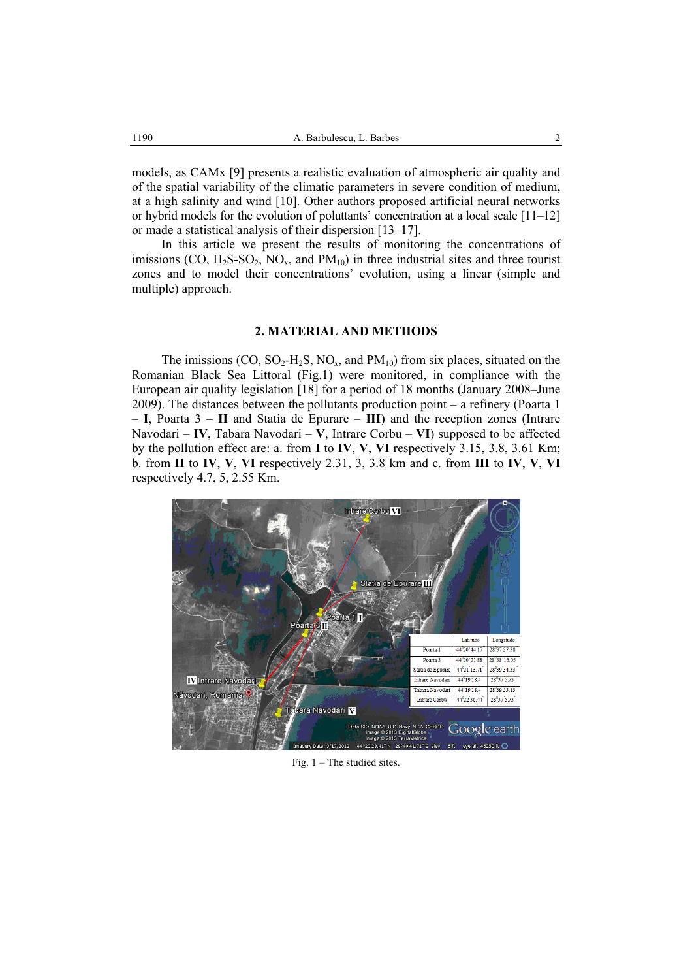models, as CAMx [9] presents a realistic evaluation of atmospheric air quality and of the spatial variability of the climatic parameters in severe condition of medium, at a high salinity and wind [10]. Other authors proposed artificial neural networks or hybrid models for the evolution of poluttants' concentration at a local scale [11–12] or made a statistical analysis of their dispersion [13–17].

In this article we present the results of monitoring the concentrations of imissions  $(CO, H_2S-SO_2, NO_x, and PM_{10})$  in three industrial sites and three tourist zones and to model their concentrations' evolution, using a linear (simple and multiple) approach.

## **2. MATERIAL AND METHODS**

The imissions  $(CO, SO<sub>2</sub>-H<sub>2</sub>S, NO<sub>x</sub>, and PM<sub>10</sub>)$  from six places, situated on the Romanian Black Sea Littoral (Fig.1) were monitored, in compliance with the European air quality legislation [18] for a period of 18 months (January 2008–June 2009). The distances between the pollutants production point – a refinery (Poarta 1 – **I**, Poarta 3 – **II** and Statia de Epurare – **III**) and the reception zones (Intrare Navodari – **IV**, Tabara Navodari – **V**, Intrare Corbu – **VI**) supposed to be affected by the pollution effect are: a. from **I** to **IV**, **V**, **VI** respectively 3.15, 3.8, 3.61 Km; b. from **II** to **IV**, **V**, **VI** respectively 2.31, 3, 3.8 km and c. from **III** to **IV**, **V**, **VI**  respectively 4.7, 5, 2.55 Km.



Fig. 1 – The studied sites.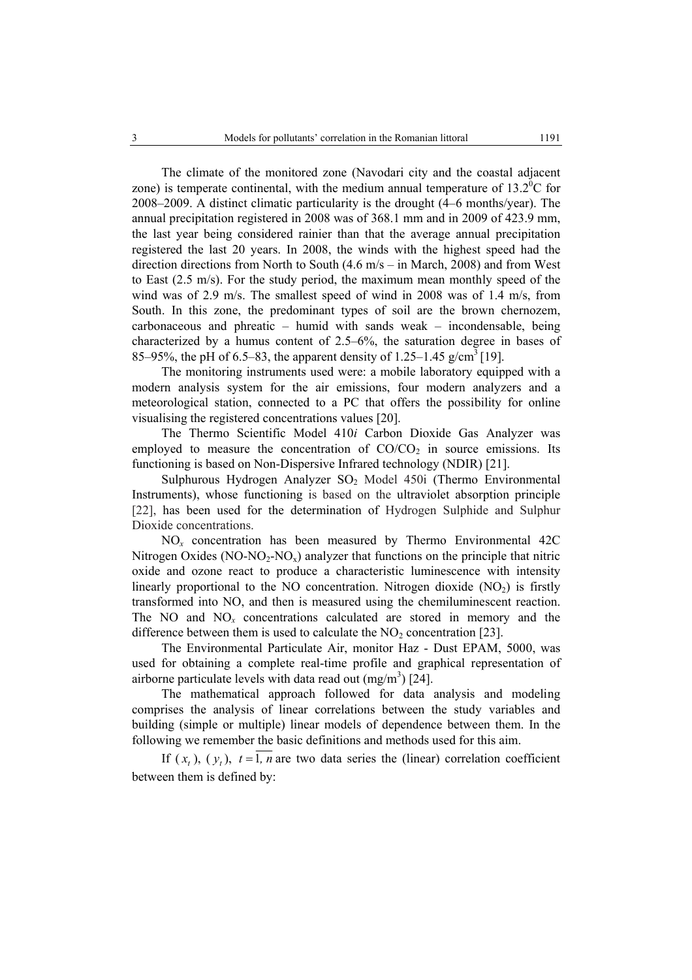The climate of the monitored zone (Navodari city and the coastal adjacent zone) is temperate continental, with the medium annual temperature of  $13.2^{\circ}$ C for 2008–2009. A distinct climatic particularity is the drought (4–6 months/year). The annual precipitation registered in 2008 was of 368.1 mm and in 2009 of 423.9 mm, the last year being considered rainier than that the average annual precipitation registered the last 20 years. In 2008, the winds with the highest speed had the direction directions from North to South (4.6 m/s – in March, 2008) and from West to East (2.5 m/s). For the study period, the maximum mean monthly speed of the wind was of 2.9 m/s. The smallest speed of wind in 2008 was of 1.4 m/s, from South. In this zone, the predominant types of soil are the brown chernozem, carbonaceous and phreatic – humid with sands weak – incondensable, being characterized by a humus content of 2.5–6%, the saturation degree in bases of 85–95%, the pH of 6.5–83, the apparent density of 1.25–1.45 g/cm<sup>3</sup> [19].

 The monitoring instruments used were: a mobile laboratory equipped with a modern analysis system for the air emissions, four modern analyzers and a meteorological station, connected to a PC that offers the possibility for online visualising the registered concentrations values [20].

The Thermo Scientific Model 410*i* Carbon Dioxide Gas Analyzer was employed to measure the concentration of  $CO/CO<sub>2</sub>$  in source emissions. Its functioning is based on Non-Dispersive Infrared technology (NDIR) [21].

Sulphurous Hydrogen Analyzer SO<sub>2</sub> Model 450i (Thermo Environmental Instruments), whose functioning is based on the ultraviolet absorption principle [22], has been used for the determination of Hydrogen Sulphide and Sulphur Dioxide concentrations.

NO*x* concentration has been measured by Thermo Environmental 42C Nitrogen Oxides (NO-NO<sub>2</sub>-NO<sub>x</sub>) analyzer that functions on the principle that nitric oxide and ozone react to produce a characteristic luminescence with intensity linearly proportional to the NO concentration. Nitrogen dioxide  $(NO<sub>2</sub>)$  is firstly transformed into NO, and then is measured using the chemiluminescent reaction. The NO and NO*x* concentrations calculated are stored in memory and the difference between them is used to calculate the  $NO<sub>2</sub>$  concentration [23].

The Environmental Particulate Air, monitor Haz - Dust EPAM, 5000, was used for obtaining a complete real-time profile and graphical representation of airborne particulate levels with data read out  $(mg/m<sup>3</sup>)$  [24].

The mathematical approach followed for data analysis and modeling comprises the analysis of linear correlations between the study variables and building (simple or multiple) linear models of dependence between them. In the following we remember the basic definitions and methods used for this aim.

If  $(x_t)$ ,  $(y_t)$ ,  $t = 1$ ,  $\overline{n}$  are two data series the (linear) correlation coefficient between them is defined by: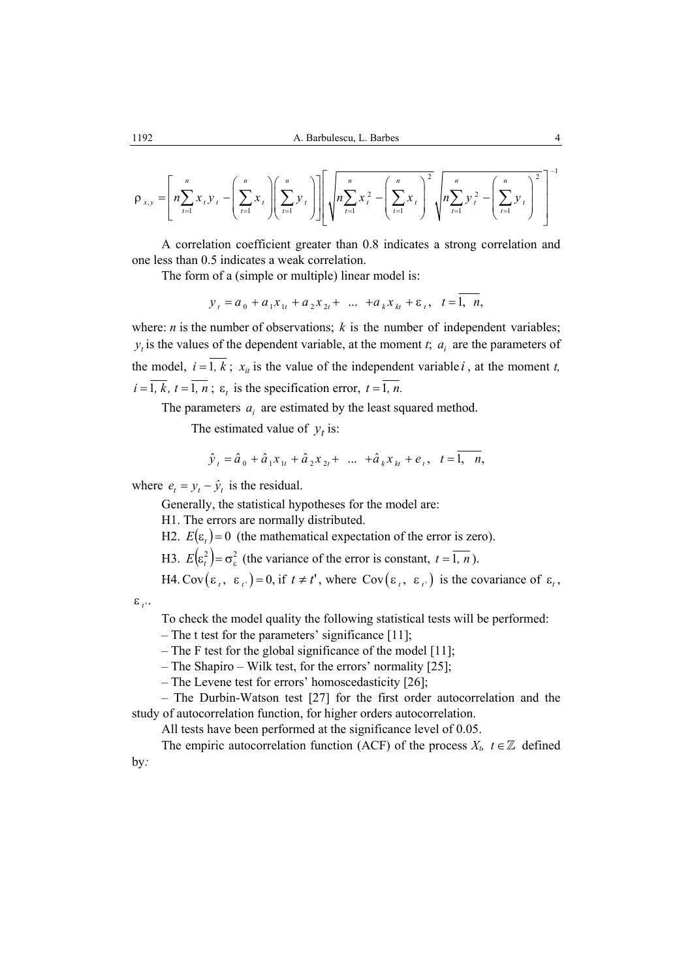$$
\rho_{x,y} = \left[ n \sum_{t=1}^{n} x_t y_t - \left( \sum_{t=1}^{n} x_t \right) \left( \sum_{t=1}^{n} y_t \right) \right] \left[ \sqrt{n \sum_{t=1}^{n} x_t^2 - \left( \sum_{t=1}^{n} x_t \right)^2} \sqrt{n \sum_{t=1}^{n} y_t^2 - \left( \sum_{t=1}^{n} y_t \right)^2} \right]^{-1}
$$

A correlation coefficient greater than 0.8 indicates a strong correlation and one less than 0.5 indicates a weak correlation.

The form of a (simple or multiple) linear model is:

$$
y_t = a_0 + a_1 x_{1t} + a_2 x_{2t} + \dots + a_k x_{kt} + \varepsilon_t, \quad t = 1, n,
$$

where: *n* is the number of observations;  $k$  is the number of independent variables;  $y_t$  is the values of the dependent variable, at the moment *t*;  $a_i$  are the parameters of the model,  $i = \overline{1, k}$ ;  $x_{i}$  is the value of the independent variable *i*, at the moment *t*,  $i = \overline{1, k}, t = \overline{1, n}$ ;  $\varepsilon$ , is the specification error,  $t = \overline{1, n}$ .

The parameters  $a_i$  are estimated by the least squared method.

The estimated value of  $y_t$  is:

$$
\hat{y}_t = \hat{a}_0 + \hat{a}_1 x_{1t} + \hat{a}_2 x_{2t} + \dots + \hat{a}_k x_{kt} + e_t, \quad t = 1, \quad n,
$$

where  $e_t = y_t - \hat{y}_t$  is the residual.

Generally, the statistical hypotheses for the model are:

H1. The errors are normally distributed.

H2.  $E(\varepsilon_t) = 0$  (the mathematical expectation of the error is zero).

H3.  $E(\varepsilon_t^2) = \sigma_{\varepsilon}^2$  (the variance of the error is constant,  $t = \overline{1, n}$ ).

H4. Cov  $(\varepsilon_t, \varepsilon_t) = 0$ , if  $t \neq t'$ , where Cov $(\varepsilon_t, \varepsilon_t)$  is the covariance of  $\varepsilon_t$ ,

$$
\varepsilon_{t'}.
$$

To check the model quality the following statistical tests will be performed:

– The t test for the parameters' significance [11];

– The F test for the global significance of the model [11];

– The Shapiro – Wilk test, for the errors' normality [25];

– The Levene test for errors' homoscedasticity [26];

– The Durbin-Watson test [27] for the first order autocorrelation and the study of autocorrelation function, for higher orders autocorrelation.

All tests have been performed at the significance level of 0.05.

The empiric autocorrelation function (ACF) of the process  $X_t$ ,  $t \in \mathbb{Z}$  defined by*:*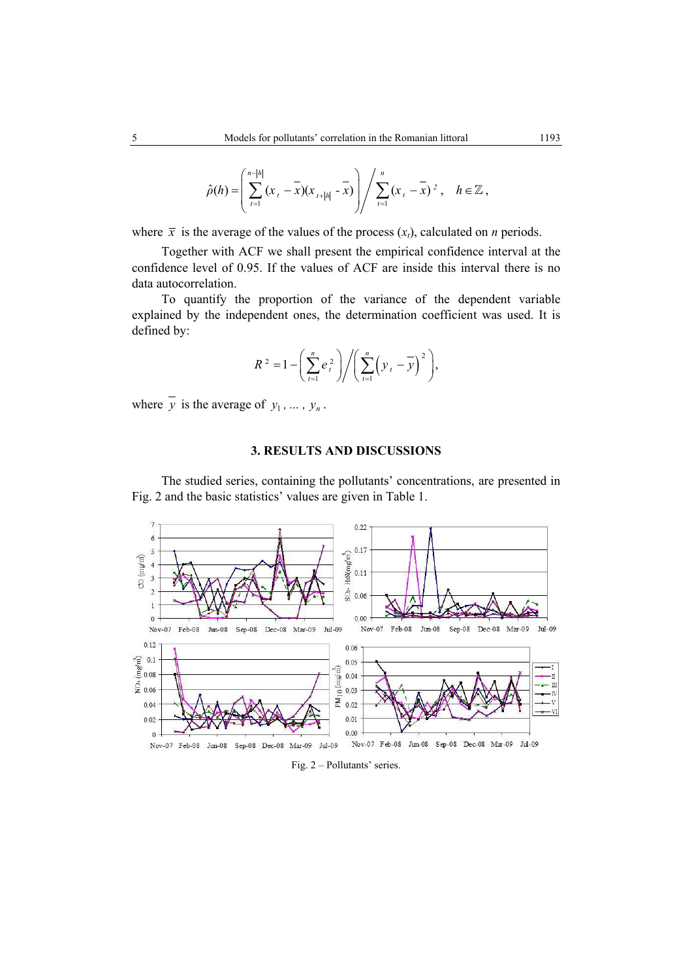$$
\hat{\rho}(h) = \left(\sum_{t=1}^{n-|h|} (x_t - \overline{x})(x_{t+|h|} - \overline{x})\right) / \sum_{t=1}^{n} (x_t - \overline{x})^2, \quad h \in \mathbb{Z},
$$

where  $\bar{x}$  is the average of the values of the process  $(x_t)$ , calculated on *n* periods.

Together with ACF we shall present the empirical confidence interval at the confidence level of 0.95. If the values of ACF are inside this interval there is no data autocorrelation.

To quantify the proportion of the variance of the dependent variable explained by the independent ones, the determination coefficient was used. It is defined by:

$$
R^{2} = 1 - \left(\sum_{t=1}^{n} e_{t}^{2}\right) \bigg/ \left(\sum_{t=1}^{n} \left(y_{t} - \overline{y}\right)^{2}\right),
$$

where  $\overline{y}$  is the average of  $y_1, \ldots, y_n$ .

# **3. RESULTS AND DISCUSSIONS**

The studied series, containing the pollutants' concentrations, are presented in Fig. 2 and the basic statistics' values are given in Table 1.



### Fig. 2 – Pollutants' series.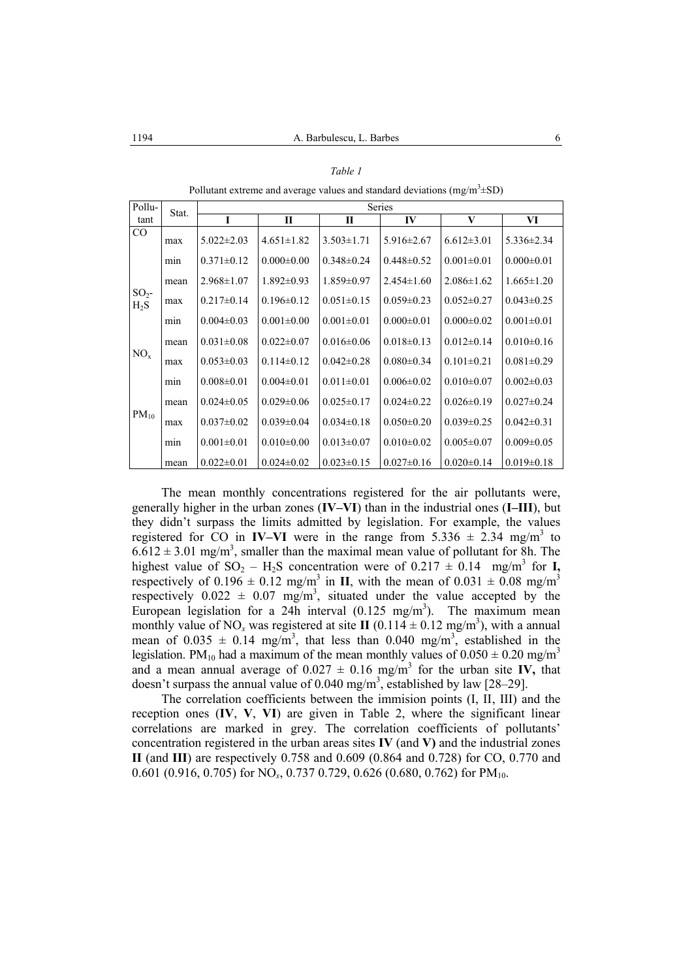|--|--|--|

Pollutant extreme and average values and standard deviations (mg/m<sup>3</sup> $\pm$ SD)

| Pollu-            | Stat.            | Series           |                  |                  |                  |                  |                  |
|-------------------|------------------|------------------|------------------|------------------|------------------|------------------|------------------|
| tant              |                  | I                | П                | П                | IV               | V                | VI               |
| CO                | max              | $5.022 \pm 2.03$ | $4.651 \pm 1.82$ | $3.503 \pm 1.71$ | $5.916 \pm 2.67$ | $6.612 \pm 3.01$ | $5.336 \pm 2.34$ |
|                   | m <sub>1</sub> n | $0.371 \pm 0.12$ | $0.000 \pm 0.00$ | $0.348 \pm 0.24$ | $0.448 \pm 0.52$ | $0.001 \pm 0.01$ | $0.000 \pm 0.01$ |
|                   | mean             | $2.968 \pm 1.07$ | $1.892 \pm 0.93$ | $1.859 \pm 0.97$ | $2.454\pm1.60$   | $2.086 \pm 1.62$ | $1.665 \pm 1.20$ |
| $SO2$ -<br>$H_2S$ | max              | $0.217 \pm 0.14$ | $0.196 \pm 0.12$ | $0.051 \pm 0.15$ | $0.059 \pm 0.23$ | $0.052 \pm 0.27$ | $0.043 \pm 0.25$ |
|                   | min              | $0.004 \pm 0.03$ | $0.001 \pm 0.00$ | $0.001 \pm 0.01$ | $0.000 \pm 0.01$ | $0.000 \pm 0.02$ | $0.001 \pm 0.01$ |
|                   | mean             | $0.031 \pm 0.08$ | $0.022 \pm 0.07$ | $0.016 \pm 0.06$ | $0.018 \pm 0.13$ | $0.012 \pm 0.14$ | $0.010 \pm 0.16$ |
| $NO_{x}$          | max              | $0.053 \pm 0.03$ | $0.114 \pm 0.12$ | $0.042 \pm 0.28$ | $0.080 \pm 0.34$ | $0.101 \pm 0.21$ | $0.081 \pm 0.29$ |
|                   | m <sub>1</sub> n | $0.008 \pm 0.01$ | $0.004 \pm 0.01$ | $0.011 \pm 0.01$ | $0.006 \pm 0.02$ | $0.010 \pm 0.07$ | $0.002 \pm 0.03$ |
|                   | mean             | $0.024\pm0.05$   | $0.029 \pm 0.06$ | $0.025 \pm 0.17$ | $0.024 \pm 0.22$ | $0.026 \pm 0.19$ | $0.027 \pm 0.24$ |
| $PM_{10}$         | max              | $0.037 \pm 0.02$ | $0.039 \pm 0.04$ | $0.034\pm0.18$   | $0.050 \pm 0.20$ | $0.039 \pm 0.25$ | $0.042 \pm 0.31$ |
|                   | min              | $0.001 \pm 0.01$ | $0.010 \pm 0.00$ | $0.013 \pm 0.07$ | $0.010 \pm 0.02$ | $0.005 \pm 0.07$ | $0.009 \pm 0.05$ |
|                   | mean             | $0.022 \pm 0.01$ | $0.024 \pm 0.02$ | $0.023 \pm 0.15$ | $0.027 \pm 0.16$ | $0.020 \pm 0.14$ | $0.019 \pm 0.18$ |

The mean monthly concentrations registered for the air pollutants were, generally higher in the urban zones (**IV–VI**) than in the industrial ones (**I–III**), but they didn't surpass the limits admitted by legislation. For example, the values registered for CO in **IV–VI** were in the range from  $5.336 \pm 2.34$  mg/m<sup>3</sup> to  $6.612 \pm 3.01$  mg/m<sup>3</sup>, smaller than the maximal mean value of pollutant for 8h. The highest value of  $SO_2 - H_2S$  concentration were of  $0.217 \pm 0.14$  mg/m<sup>3</sup> for **I**, respectively of  $0.196 \pm 0.12$  mg/m<sup>3</sup> in **II**, with the mean of  $0.031 \pm 0.08$  mg/m<sup>3</sup> respectively  $0.022 \pm 0.07$  mg/m<sup>3</sup>, situated under the value accepted by the European legislation for a 24h interval  $(0.125 \text{ mg/m}^3)$ . The maximum mean monthly value of NO<sub>x</sub> was registered at site **II** (0.114  $\pm$  0.12 mg/m<sup>3</sup>), with a annual mean of  $0.035 \pm 0.14$  mg/m<sup>3</sup>, that less than  $0.040$  mg/m<sup>3</sup>, established in the legislation. PM<sub>10</sub> had a maximum of the mean monthly values of  $0.050 \pm 0.20$  mg/m<sup>3</sup> and a mean annual average of  $0.027 \pm 0.16$  mg/m<sup>3</sup> for the urban site **IV**, that doesn't surpass the annual value of  $0.040$  mg/m<sup>3</sup>, established by law [28–29].

The correlation coefficients between the immision points (I, II, III) and the reception ones (**IV**, **V**, **VI**) are given in Table 2, where the significant linear correlations are marked in grey. The correlation coefficients of pollutants' concentration registered in the urban areas sites **IV** (and **V)** and the industrial zones **II** (and **III**) are respectively 0.758 and 0.609 (0.864 and 0.728) for CO, 0.770 and 0.601 (0.916, 0.705) for NO<sub>x</sub>, 0.737 0.729, 0.626 (0.680, 0.762) for PM<sub>10</sub>.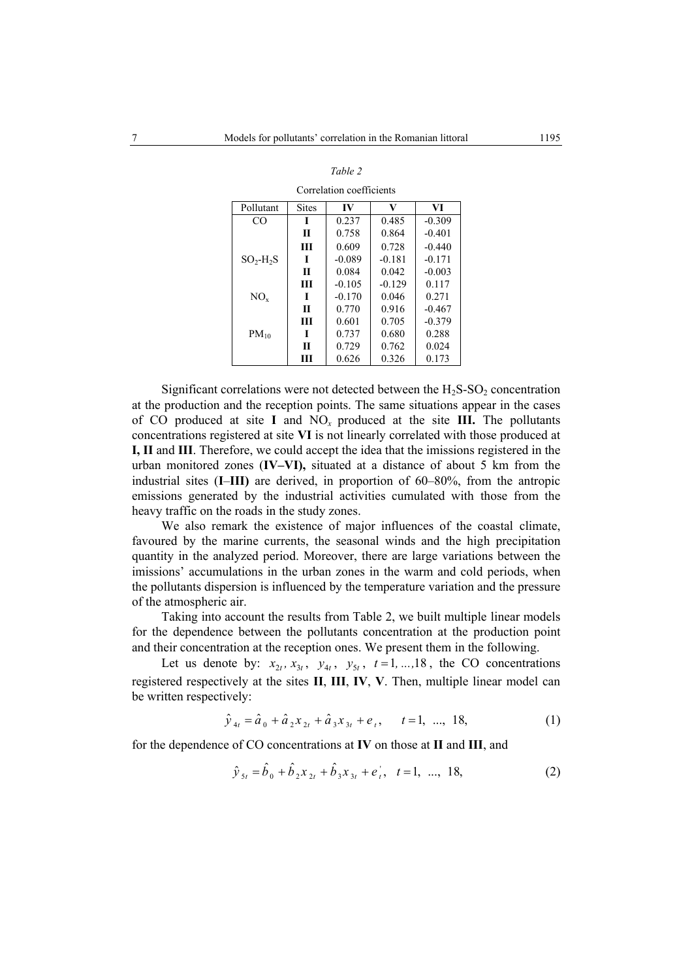| Pollutant | <b>Sites</b> | IV       | V        | VI       |
|-----------|--------------|----------|----------|----------|
| CO        | I            | 0.237    | 0.485    | $-0.309$ |
|           | Π            | 0.758    | 0.864    | $-0.401$ |
|           | Ш            | 0.609    | 0.728    | $-0.440$ |
| $SO2-H2S$ | I            | $-0.089$ | $-0.181$ | $-0.171$ |
|           | Π            | 0.084    | 0.042    | $-0.003$ |
|           | Ш            | $-0.105$ | $-0.129$ | 0.117    |
| $NO_{x}$  | I            | $-0.170$ | 0.046    | 0.271    |
|           | Π            | 0.770    | 0.916    | $-0.467$ |
|           | Ш            | 0.601    | 0.705    | $-0.379$ |
| $PM_{10}$ | I            | 0.737    | 0.680    | 0.288    |
|           | Π            | 0.729    | 0.762    | 0.024    |
|           | ш            | 0.626    | 0.326    | 0.173    |

Correlation coefficients

Significant correlations were not detected between the  $H_2S-SO_2$  concentration at the production and the reception points. The same situations appear in the cases of CO produced at site **I** and  $NO_x$  produced at the site **III.** The pollutants concentrations registered at site **VI** is not linearly correlated with those produced at **I, II** and **III**. Therefore, we could accept the idea that the imissions registered in the urban monitored zones (**IV–VI),** situated at a distance of about 5 km from the industrial sites (**I**–**III)** are derived, in proportion of 60–80%, from the antropic emissions generated by the industrial activities cumulated with those from the heavy traffic on the roads in the study zones.

We also remark the existence of major influences of the coastal climate, favoured by the marine currents, the seasonal winds and the high precipitation quantity in the analyzed period. Moreover, there are large variations between the imissions' accumulations in the urban zones in the warm and cold periods, when the pollutants dispersion is influenced by the temperature variation and the pressure of the atmospheric air.

Taking into account the results from Table 2, we built multiple linear models for the dependence between the pollutants concentration at the production point and their concentration at the reception ones. We present them in the following.

Let us denote by:  $x_{2t}$ ,  $x_{3t}$ ,  $y_{4t}$ ,  $y_{5t}$ ,  $t = 1, \ldots, 18$ , the CO concentrations registered respectively at the sites **II**, **III**, **IV**, **V**. Then, multiple linear model can be written respectively:

$$
\hat{y}_{4t} = \hat{a}_0 + \hat{a}_2 x_{2t} + \hat{a}_3 x_{3t} + e_t, \quad t = 1, ..., 18,
$$
\n(1)

for the dependence of CO concentrations at **IV** on those at **II** and **III**, and

$$
\hat{y}_{5t} = \hat{b}_0 + \hat{b}_2 x_{2t} + \hat{b}_3 x_{3t} + e_t^{\dagger}, \quad t = 1, \dots, 18,
$$
\n(2)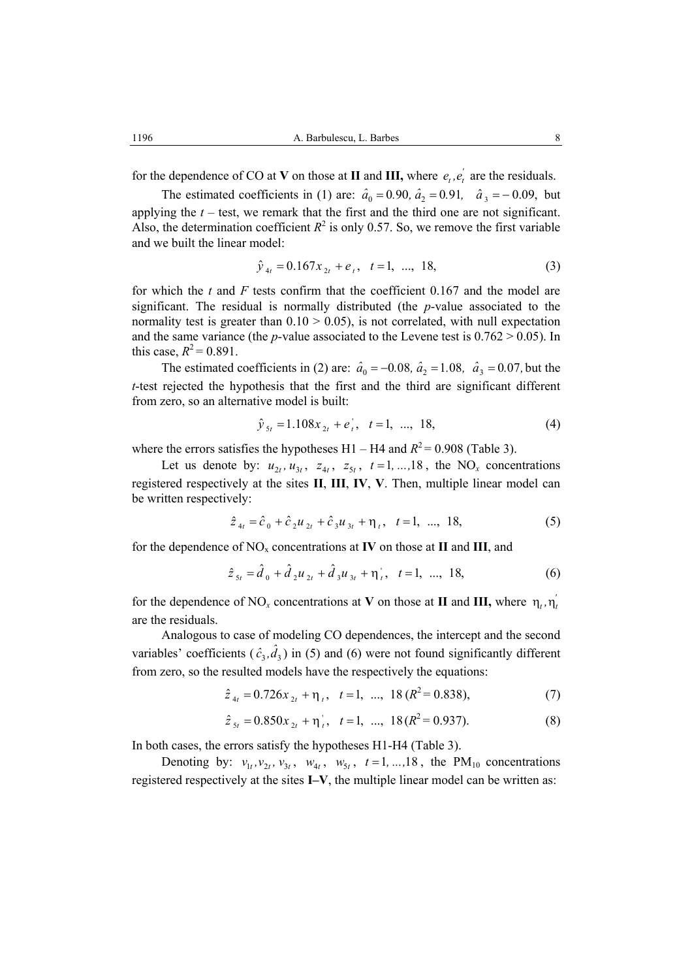for the dependence of CO at **V** on those at **II** and **III**, where  $e_t$ ,  $e'_t$  are the residuals.

The estimated coefficients in (1) are:  $\hat{a}_0 = 0.90$ ,  $\hat{a}_2 = 0.91$ ,  $\hat{a}_3 = -0.09$ , but applying the  $t$  – test, we remark that the first and the third one are not significant. Also, the determination coefficient  $R^2$  is only 0.57. So, we remove the first variable and we built the linear model:

$$
\hat{y}_{4t} = 0.167x_{2t} + e_t, \quad t = 1, \dots, 18,
$$
\n(3)

for which the *t* and *F* tests confirm that the coefficient 0.167 and the model are significant. The residual is normally distributed (the *p*-value associated to the normality test is greater than  $0.10 \ge 0.05$ ), is not correlated, with null expectation and the same variance (the *p*-value associated to the Levene test is  $0.762 > 0.05$ ). In this case,  $R^2 = 0.891$ .

The estimated coefficients in (2) are:  $\hat{a}_0 = -0.08$ ,  $\hat{a}_2 = 1.08$ ,  $\hat{a}_3 = 0.07$ , but the *t*-test rejected the hypothesis that the first and the third are significant different from zero, so an alternative model is built:

$$
\hat{y}_{5t} = 1.108x_{2t} + e_t^{\dagger}, \quad t = 1, \dots, 18,
$$
\n(4)

where the errors satisfies the hypotheses  $H1 - H4$  and  $R^2 = 0.908$  (Table 3).

Let us denote by:  $u_{\gamma t}$ ,  $u_{\gamma t}$ ,  $z_{4t}$ ,  $z_{5t}$ ,  $t = 1, \ldots, 18$ , the NO<sub>x</sub> concentrations registered respectively at the sites **II**, **III**, **IV**, **V**. Then, multiple linear model can be written respectively:

$$
\hat{z}_{4t} = \hat{c}_0 + \hat{c}_2 u_{2t} + \hat{c}_3 u_{3t} + \eta_t, \quad t = 1, \dots, 18,
$$
 (5)

for the dependence of  $NO_x$  concentrations at **IV** on those at **II** and **III**, and

$$
\hat{z}_{5t} = \hat{d}_0 + \hat{d}_2 u_{2t} + \hat{d}_3 u_{3t} + \eta_t^{\dagger}, \quad t = 1, \dots, 18,
$$
 (6)

for the dependence of NO<sub>x</sub> concentrations at **V** on those at **II** and **III**, where  $\eta_t$ ,  $\eta'_t$ are the residuals.

Analogous to case of modeling CO dependences, the intercept and the second variables' coefficients  $(\hat{c}_3, \hat{d}_3)$  in (5) and (6) were not found significantly different from zero, so the resulted models have the respectively the equations:

$$
\hat{z}_{4t} = 0.726x_{2t} + \eta_t, \quad t = 1, \ \dots, \ 18 \ (R^2 = 0.838), \tag{7}
$$

$$
\hat{z}_{5t} = 0.850x_{2t} + \eta_t, \quad t = 1, \ \dots, \ 18(R^2 = 0.937). \tag{8}
$$

In both cases, the errors satisfy the hypotheses H1-H4 (Table 3).

Denoting by:  $v_{1t}$ ,  $v_{2t}$ ,  $v_{3t}$ ,  $w_{4t}$ ,  $w_{5t}$ ,  $t = 1, ..., 18$ , the PM<sub>10</sub> concentrations registered respectively at the sites **I–V**, the multiple linear model can be written as: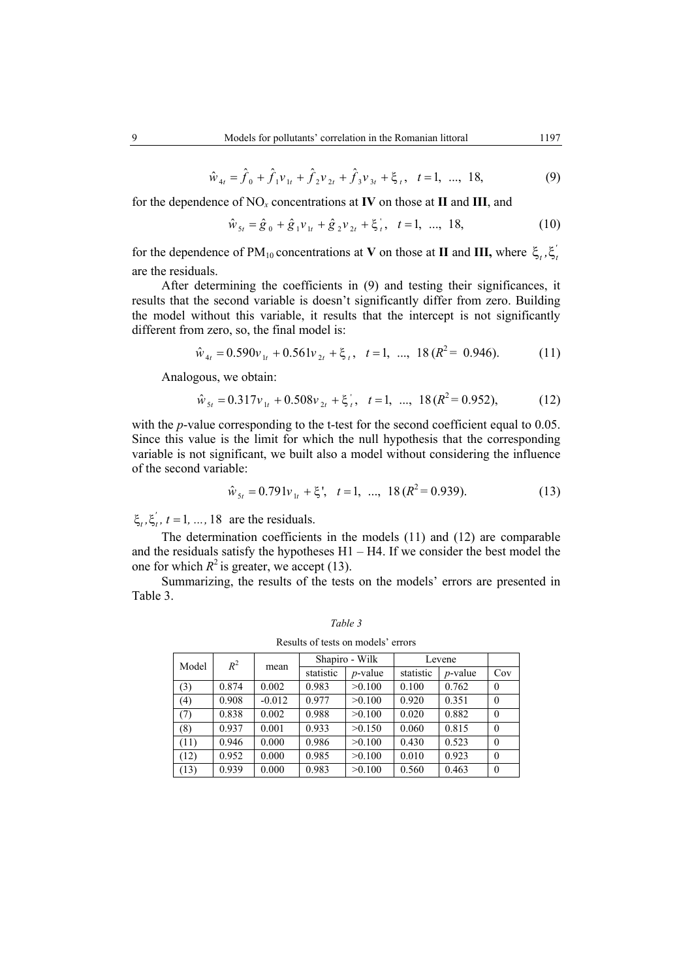$$
\hat{w}_{4t} = \hat{f}_0 + \hat{f}_1 v_{1t} + \hat{f}_2 v_{2t} + \hat{f}_3 v_{3t} + \xi_t, \quad t = 1, \dots, 18,
$$
\n(9)

for the dependence of NO*x* concentrations at **IV** on those at **II** and **III**, and

$$
\hat{w}_{5t} = \hat{g}_0 + \hat{g}_1 v_{1t} + \hat{g}_2 v_{2t} + \xi_t^{\prime}, \quad t = 1, \dots, 18,
$$
\n(10)

for the dependence of PM<sub>10</sub> concentrations at **V** on those at **II** and **III**, where  $\xi_t$ ,  $\xi'_t$ are the residuals.

After determining the coefficients in (9) and testing their significances, it results that the second variable is doesn't significantly differ from zero. Building the model without this variable, it results that the intercept is not significantly different from zero, so, the final model is:

$$
\hat{w}_{4t} = 0.590v_{1t} + 0.561v_{2t} + \xi_t, \quad t = 1, \quad \dots, \quad 18 \left( R^2 = 0.946 \right). \tag{11}
$$

Analogous, we obtain:

$$
\hat{w}_{s_t} = 0.317v_{1t} + 0.508v_{2t} + \xi_t^*, \quad t = 1, \dots, 18 (R^2 = 0.952), \tag{12}
$$

with the *p*-value corresponding to the t-test for the second coefficient equal to 0.05. Since this value is the limit for which the null hypothesis that the corresponding variable is not significant, we built also a model without considering the influence of the second variable:

$$
\hat{w}_{st} = 0.791v_{1t} + \xi', \quad t = 1, \ \dots, \ 18 \left( R^2 = 0.939 \right). \tag{13}
$$

 $\xi_t$ ,  $\xi'_t$ ,  $t = 1, ..., 18$  are the residuals.

The determination coefficients in the models (11) and (12) are comparable and the residuals satisfy the hypotheses H1 – H4. If we consider the best model the one for which  $R^2$  is greater, we accept (13).

Summarizing, the results of the tests on the models' errors are presented in Table 3.

*Table 3* 

Results of tests on models' errors

| Model | $R^2$ | mean     |           | Shapiro - Wilk | Levene    |            |          |
|-------|-------|----------|-----------|----------------|-----------|------------|----------|
|       |       |          | statistic | $p$ -value     | statistic | $p$ -value | Cov      |
| (3)   | 0.874 | 0.002    | 0.983     | >0.100         | 0.100     | 0.762      | $\theta$ |
| (4)   | 0.908 | $-0.012$ | 0.977     | >0.100         | 0.920     | 0.351      | $\theta$ |
| (7)   | 0.838 | 0.002    | 0.988     | >0.100         | 0.020     | 0.882      | $\theta$ |
| (8)   | 0.937 | 0.001    | 0.933     | >0.150         | 0.060     | 0.815      | $\theta$ |
| (11)  | 0.946 | 0.000    | 0.986     | >0.100         | 0.430     | 0.523      | $\theta$ |
| (12)  | 0.952 | 0.000    | 0.985     | >0.100         | 0.010     | 0.923      | $\theta$ |
| (13)  | 0.939 | 0.000    | 0.983     | >0.100         | 0.560     | 0.463      | $\theta$ |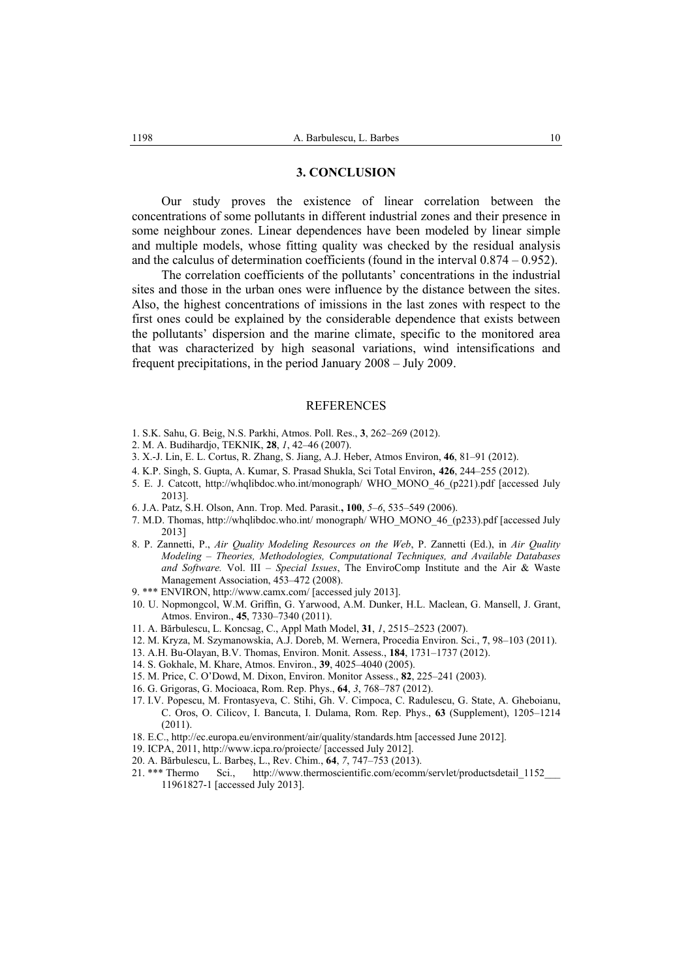## **3. CONCLUSION**

Our study proves the existence of linear correlation between the concentrations of some pollutants in different industrial zones and their presence in some neighbour zones. Linear dependences have been modeled by linear simple and multiple models, whose fitting quality was checked by the residual analysis and the calculus of determination coefficients (found in the interval 0.874 – 0.952).

The correlation coefficients of the pollutants' concentrations in the industrial sites and those in the urban ones were influence by the distance between the sites. Also, the highest concentrations of imissions in the last zones with respect to the first ones could be explained by the considerable dependence that exists between the pollutants' dispersion and the marine climate, specific to the monitored area that was characterized by high seasonal variations, wind intensifications and frequent precipitations, in the period January 2008 – July 2009.

#### **REFERENCES**

- 1. S.K. Sahu, G. Beig, N.S. Parkhi, Atmos. Poll. Res., **3**, 262–269 (2012).
- 2. M. A. Budihardjo, TEKNIK, **28**, *1*, 42–46 (2007).
- 3. X.-J. Lin, E. L. Cortus, R. Zhang, S. Jiang, A.J. Heber, Atmos Environ, **46**, 81–91 (2012).
- 4. K.P. Singh, S. Gupta, A. Kumar, S. Prasad Shukla, Sci Total Environ, **426**, 244–255 (2012).
- 5. E. J. Catcott, http://whqlibdoc.who.int/monograph/ WHO\_MONO\_46\_(p221).pdf [accessed July 2013].
- 6. J.A. Patz, S.H. Olson, Ann. Trop. Med. Parasit.**, 100**, *5*–*6*, 535–549 (2006).
- 7. M.D. Thomas, http://whqlibdoc.who.int/ monograph/ WHO\_MONO\_46\_(p233).pdf [accessed July 2013]
- 8. P. Zannetti, P., *Air Quality Modeling Resources on the Web*, P. Zannetti (Ed.), in *Air Quality Modeling – Theories, Methodologies, Computational Techniques, and Available Databases and Software.* Vol. III *– Special Issues*, The EnviroComp Institute and the Air & Waste Management Association, 453–472 (2008).
- 9. \*\*\* ENVIRON, http://www.camx.com/ [accessed july 2013].
- 10. U. Nopmongcol, W.M. Griffin, G. Yarwood, A.M. Dunker, H.L. Maclean, G. Mansell, J. Grant, Atmos. Environ., **45**, 7330–7340 (2011).
- 11. A. Bărbulescu, L. Koncsag, C., Appl Math Model, **31**, *1*, 2515–2523 (2007).
- 12. M. Kryza, M. Szymanowskia, A.J. Doreb, M. Wernera, Procedia Environ. Sci., **7**, 98–103 (2011).
- 13. A.H. Bu-Olayan, B.V. Thomas, Environ. Monit. Assess., **184**, 1731–1737 (2012).
- 14. S. Gokhale, M. Khare, Atmos. Environ., **39**, 4025–4040 (2005).
- 15. M. Price, C. O'Dowd, M. Dixon, Environ. Monitor Assess., **82**, 225–241 (2003).
- 16. G. Grigoras, G. Mocioaca, Rom. Rep. Phys., **64**, *3*, 768–787 (2012).
- 17. I.V. Popescu, M. Frontasyeva, C. Stihi, Gh. V. Cimpoca, C. Radulescu, G. State, A. Gheboianu, C. Oros, O. Cilicov, I. Bancuta, I. Dulama, Rom. Rep. Phys., **63** (Supplement), 1205–1214 (2011).
- 18. E.C., http://ec.europa.eu/environment/air/quality/standards.htm [accessed June 2012].
- 19. ICPA, 2011, http://www.icpa.ro/proiecte/ [accessed July 2012].
- 20. A. Bărbulescu, L. Barbeș, L., Rev. Chim., **64**, *7*, 747–753 (2013).
- 21. \*\*\* Thermo Sci., http://www.thermoscientific.com/ecomm/servlet/productsdetail 1152 11961827-1 [accessed July 2013].